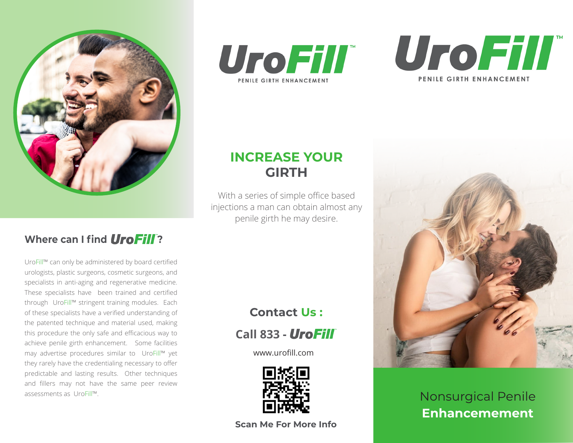

## **Where can I find UroFill?**

UroFill™ can only be administered by board certified urologists, plastic surgeons, cosmetic surgeons, and specialists in anti-aging and regenerative medicine. These specialists have been trained and certified through UroFill™ stringent training modules. Each of these specialists have a verified understanding of the patented technique and material used, making this procedure the only safe and efficacious way to achieve penile girth enhancement. Some facilities may advertise procedures similar to UroFill™ yet they rarely have the credentialing necessary to offer predictable and lasting results. Other techniques and fillers may not have the same peer review assessments as UroFill™.





# **INCREASE YOUR GIRTH**

With a series of simple office based injections a man can obtain almost any penile girth he may desire.

# **Contact Us :**

 **Call 833 -**

www.urofill.com



**Scan Me For More Info**



Nonsurgical Penile **Enhancemement**